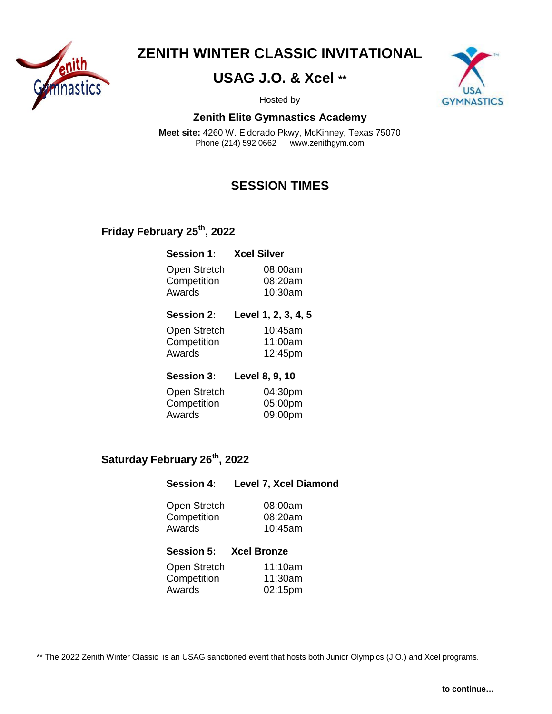

**ZENITH WINTER CLASSIC INVITATIONAL**

## **USAG J.O. & Xcel \*\***



Hosted by

#### **Zenith Elite Gymnastics Academy**

**Meet site:** 4260 W. Eldorado Pkwy, McKinney, Texas 75070 Phone (214) 592 0662 www.zenithgym.com

## **SESSION TIMES**

### **Friday February 25 th , 2022**

| <b>Session 1:</b> | <b>Xcel Silver</b> |
|-------------------|--------------------|
| Open Stretch      | 08:00am            |
| Competition       | 08:20am            |
| Awards            | 10:30am            |

| <b>Session 2:</b> | Level 1, 2, 3, 4, 5 |
|-------------------|---------------------|
| Open Stretch      | 10:45am             |
| Competition       | 11:00am             |
| Awards            | 12:45pm             |

| <b>Session 3:</b> | Level 8, 9, 10 |
|-------------------|----------------|
| Open Stretch      | 04:30pm        |
| Competition       | 05:00pm        |
| Awards            | 09:00pm        |

### **Saturday February 26 th , 2022**

#### **Session 4: Level 7, Xcel Diamond**

| Open Stretch | 08:00am    |
|--------------|------------|
| Competition  | 08:20am    |
| Awards       | $10:45$ am |

| <b>Session 5:</b> | <b>Xcel Bronze</b> |
|-------------------|--------------------|
| Open Stretch      | 11:10am            |
| Competition       | 11:30am            |
| Awards            | $02:15$ pm         |

\*\* The 2022 Zenith Winter Classic is an USAG sanctioned event that hosts both Junior Olympics (J.O.) and Xcel programs.